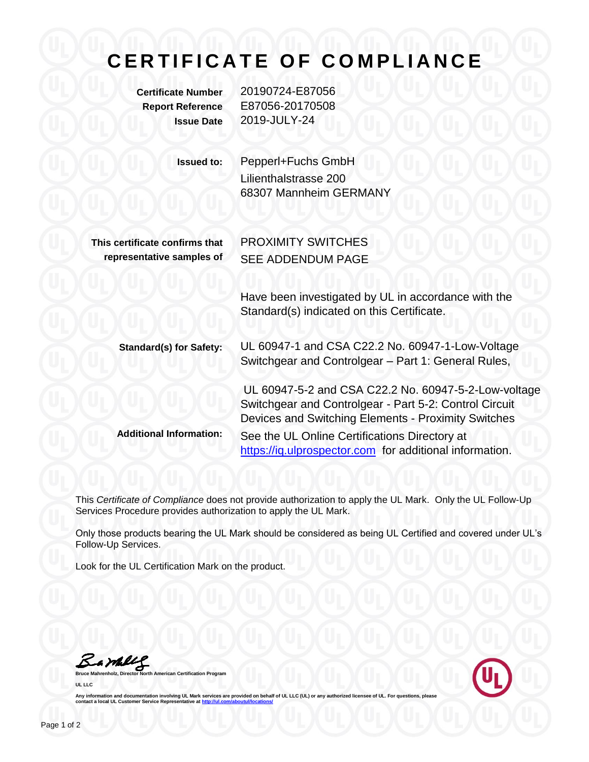## **C E R T I F I C A T E O F C O M P L I A N C E**

**Certificate Number** 20190724-E87056 **Report Reference** E87056-20170508 **Issue Date** 2019-JULY-24

| <b>Issued to:</b> | Pepperl+Fuchs GmbH     |
|-------------------|------------------------|
|                   | Lilienthalstrasse 200  |
|                   | 68307 Mannheim GERMANY |

| This certificate confirms that |  |
|--------------------------------|--|
| representative samples of      |  |

PROXIMITY SWITCHES SEE ADDENDUM PAGE

Have been investigated by UL in accordance with the Standard(s) indicated on this Certificate.

**Standard(s) for Safety:** UL 60947-1 and CSA C22.2 No. 60947-1-Low-Voltage Switchgear and Controlgear – Part 1: General Rules,

UL 60947-5-2 and CSA C22.2 No. 60947-5-2-Low-voltage Switchgear and Controlgear - Part 5-2: Control Circuit Devices and Switching Elements - Proximity Switches **Additional Information:** See the UL Online Certifications Directory at https://iq.ulprospector.com for additional information.

This *Certificate of Compliance* does not provide authorization to apply the UL Mark. Only the UL Follow-Up Services Procedure provides authorization to apply the UL Mark.

Only those products bearing the UL Mark should be considered as being UL Certified and covered under UL's Follow-Up Services.

Look for the UL Certification Mark on the product.

Bambly

**Bruce Mannest Certification Program UL LLC**



Any information and documentation involving UL Mark services are provided on behalf of UL LLC (UL) or any authorized licensee of UL. For questions, please<br>contact a local UL Customer Service Representative at <u>http://ul.co</u>